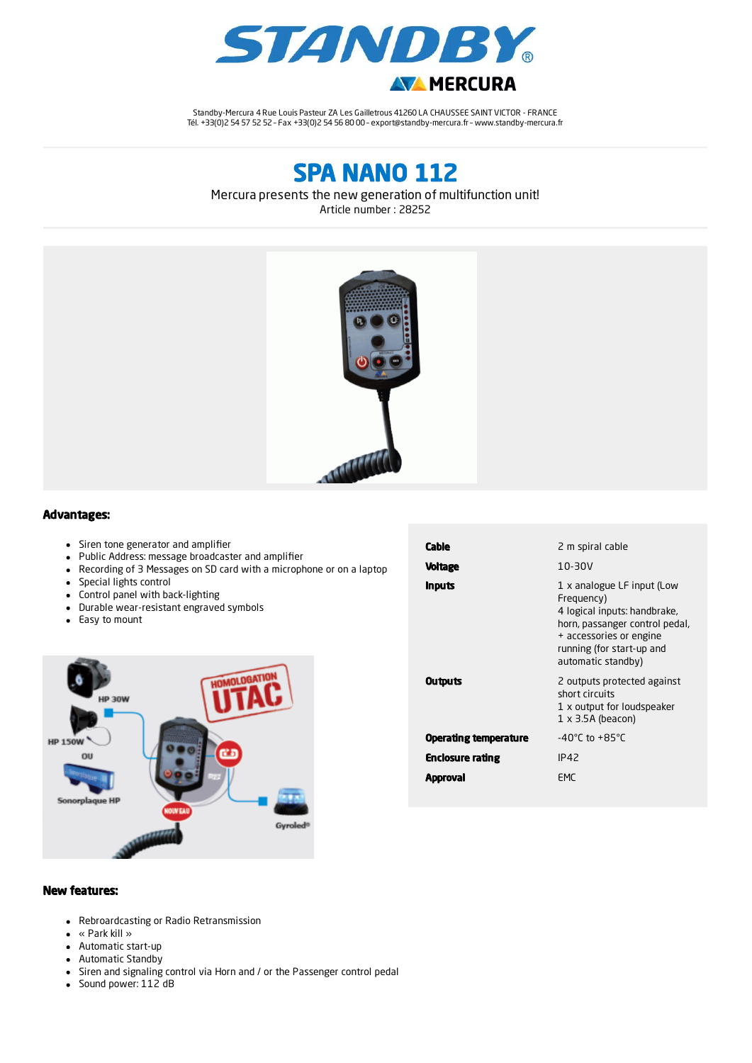

Standby-Mercura 4 Rue Louis Pasteur ZA Les Gailletrous 41260 LA CHAUSSEE SAINT VICTOR - FRANCE Tél. +33(0)2 54 57 52 52 – Fax +33(0)2 54 56 80 00 – export@standby-mercura.fr – www.standby-mercura.fr

SPA NANO 112

Mercura presents the new generation of multifunction unit!





## Advantages:

- Siren tone generator and amplifier
- Public Address: message broadcaster and amplifier
- Recording of 3 Messages on SD card with a microphone or on a laptop
- Special lights control
- Control panel with back-lighting
- Durable wear-resistant engraved symbols
- Easy to mount



| Cable<br><b>Voltage</b> | 2 m spiral cable<br>10-30V                                                                                                                                                               |  |
|-------------------------|------------------------------------------------------------------------------------------------------------------------------------------------------------------------------------------|--|
| <b>Inputs</b>           | 1 x analogue LF input (Low<br>Frequency)<br>4 logical inputs: handbrake,<br>horn, passanger control pedal,<br>+ accessories or engine<br>running (for start-up and<br>automatic standby) |  |
| <b>Outputs</b>          | 2 outputs protected against<br>short circuits<br>1 x output for loudspeaker<br>$1 \times 3.5A$ (beacon)                                                                                  |  |
| Operating temperature   | $-40^{\circ}$ C to $+85^{\circ}$ C                                                                                                                                                       |  |
| Enclosure rating        | IP42                                                                                                                                                                                     |  |
| Approval                | FMC                                                                                                                                                                                      |  |

## New features:

- Rebroardcasting or Radio Retransmission
- « Park kill »
- Automatic start-up
- Automatic Standby
- Siren and signaling control via Horn and / or the Passenger control pedal
- Sound power: 112 dB